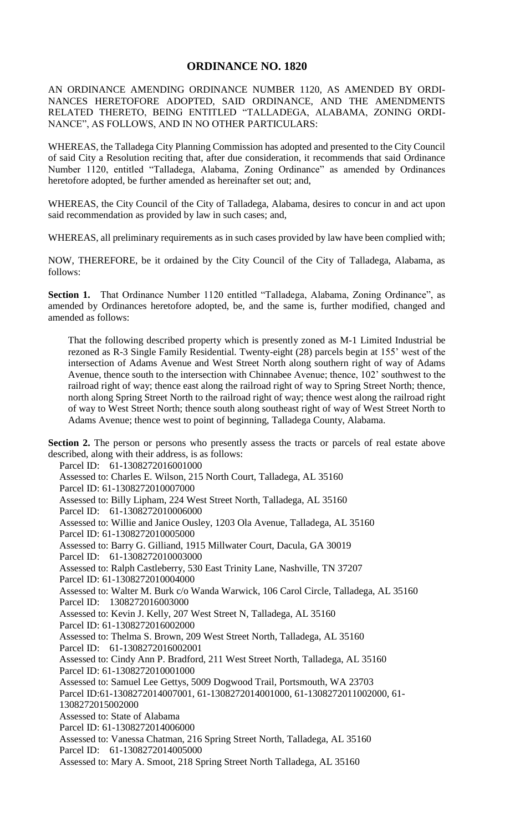## **ORDINANCE NO. 1820**

AN ORDINANCE AMENDING ORDINANCE NUMBER 1120, AS AMENDED BY ORDI-NANCES HERETOFORE ADOPTED, SAID ORDINANCE, AND THE AMENDMENTS RELATED THERETO, BEING ENTITLED "TALLADEGA, ALABAMA, ZONING ORDI-NANCE", AS FOLLOWS, AND IN NO OTHER PARTICULARS:

WHEREAS, the Talladega City Planning Commission has adopted and presented to the City Council of said City a Resolution reciting that, after due consideration, it recommends that said Ordinance Number 1120, entitled "Talladega, Alabama, Zoning Ordinance" as amended by Ordinances heretofore adopted, be further amended as hereinafter set out; and,

WHEREAS, the City Council of the City of Talladega, Alabama, desires to concur in and act upon said recommendation as provided by law in such cases; and,

WHEREAS, all preliminary requirements as in such cases provided by law have been complied with;

NOW, THEREFORE, be it ordained by the City Council of the City of Talladega, Alabama, as follows:

Section 1. That Ordinance Number 1120 entitled "Talladega, Alabama, Zoning Ordinance", as amended by Ordinances heretofore adopted, be, and the same is, further modified, changed and amended as follows:

That the following described property which is presently zoned as M-1 Limited Industrial be rezoned as R-3 Single Family Residential. Twenty-eight (28) parcels begin at 155' west of the intersection of Adams Avenue and West Street North along southern right of way of Adams Avenue, thence south to the intersection with Chinnabee Avenue; thence, 102' southwest to the railroad right of way; thence east along the railroad right of way to Spring Street North; thence, north along Spring Street North to the railroad right of way; thence west along the railroad right of way to West Street North; thence south along southeast right of way of West Street North to Adams Avenue; thence west to point of beginning, Talladega County, Alabama.

**Section 2.** The person or persons who presently assess the tracts or parcels of real estate above described, along with their address, is as follows:

Parcel ID: 61-1308272016001000 Assessed to: Charles E. Wilson, 215 North Court, Talladega, AL 35160 Parcel ID: 61-1308272010007000 Assessed to: Billy Lipham, 224 West Street North, Talladega, AL 35160 Parcel ID: 61-1308272010006000 Assessed to: Willie and Janice Ousley, 1203 Ola Avenue, Talladega, AL 35160 Parcel ID: 61-1308272010005000 Assessed to: Barry G. Gilliand, 1915 Millwater Court, Dacula, GA 30019 Parcel ID: 61-1308272010003000 Assessed to: Ralph Castleberry, 530 East Trinity Lane, Nashville, TN 37207 Parcel ID: 61-1308272010004000 Assessed to: Walter M. Burk c/o Wanda Warwick, 106 Carol Circle, Talladega, AL 35160 Parcel ID: 1308272016003000 Assessed to: Kevin J. Kelly, 207 West Street N, Talladega, AL 35160 Parcel ID: 61-1308272016002000 Assessed to: Thelma S. Brown, 209 West Street North, Talladega, AL 35160 Parcel ID: 61-1308272016002001 Assessed to: Cindy Ann P. Bradford, 211 West Street North, Talladega, AL 35160 Parcel ID: 61-1308272010001000 Assessed to: Samuel Lee Gettys, 5009 Dogwood Trail, Portsmouth, WA 23703 Parcel ID:61-1308272014007001, 61-1308272014001000, 61-1308272011002000, 61- 1308272015002000 Assessed to: State of Alabama Parcel ID: 61-1308272014006000 Assessed to: Vanessa Chatman, 216 Spring Street North, Talladega, AL 35160 Parcel ID: 61-1308272014005000 Assessed to: Mary A. Smoot, 218 Spring Street North Talladega, AL 35160